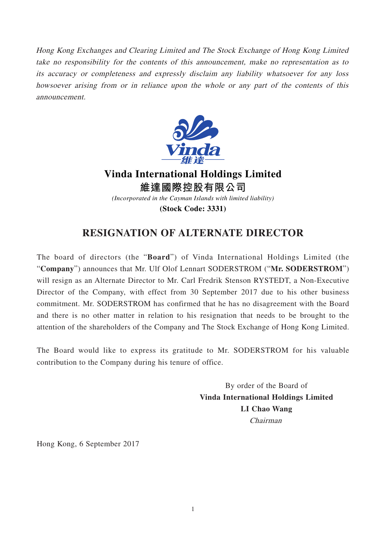Hong Kong Exchanges and Clearing Limited and The Stock Exchange of Hong Kong Limited take no responsibility for the contents of this announcement, make no representation as to its accuracy or completeness and expressly disclaim any liability whatsoever for any loss howsoever arising from or in reliance upon the whole or any part of the contents of this announcement.



**Vinda International Holdings Limited 維達國際控股有限公司** *(Incorporated in the Cayman Islands with limited liability)*

**(Stock Code: 3331)**

## **RESIGNATION OF ALTERNATE DIRECTOR**

The board of directors (the "**Board**") of Vinda International Holdings Limited (the "**Company**") announces that Mr. Ulf Olof Lennart SODERSTROM ("**Mr. SODERSTROM**") will resign as an Alternate Director to Mr. Carl Fredrik Stenson RYSTEDT, a Non-Executive Director of the Company, with effect from 30 September 2017 due to his other business commitment. Mr. SODERSTROM has confirmed that he has no disagreement with the Board and there is no other matter in relation to his resignation that needs to be brought to the attention of the shareholders of the Company and The Stock Exchange of Hong Kong Limited.

The Board would like to express its gratitude to Mr. SODERSTROM for his valuable contribution to the Company during his tenure of office.

> By order of the Board of **Vinda International Holdings Limited LI Chao Wang** Chairman

Hong Kong, 6 September 2017